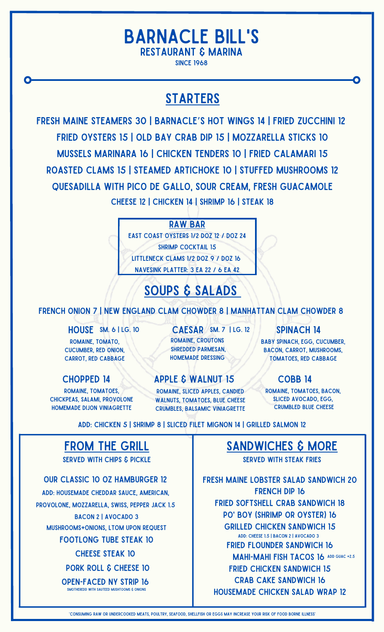#### Barnacle Bill's Restaurant & Marina since 1968

#### **STARTERS**

Fresh Maine Steamers 30 | Barnacle's Hot Wings 14 | Fried Zucchini 12 Fried Oysters 15 | Old Bay Crab Dip 15 | Mozzarella Sticks 10 Mussels Marinara 16 | chicken Tenders 10 | Fried Calamari 15 Roasted Clams 15 | Steamed Artichoke 10 | Stuffed Mushrooms 12 Quesadilla with Pico de Gallo, Sour Cream, Fresh Guacamole Cheese 12 | Chicken 14 | Shrimp 16 | Steak 18

Raw bar

east coast oysters 1/2 doz 12 / doz 24 shrimp cocktail 15 littleneck clams 1/2 doz 9 / doz 16 navesink platter: 3 ea 22 / 6 ea 42

# soups & salads

FRENCH ONION 7 | NEW ENGLAND CLAM CHOWDER 8 | MANHATTAN CLAM CHOWDER 8

romaine, tomato,

cucumber, red onion, carrot, red cabbage

romaine, tomatoes, chickpeas, salami, provolone homemade dijon viniagrette

HOUSE SM. 6 | LG. 10 CAESAR SM. 7 | LG. 12 | SPINACH 14 romaine, croutons shredded parmesan, homemade dressing  $CAESAR$  SM. 7 | LG. 12

CHOPPED 14 APPLE & WALNUT 15 COBB 14 Romaine, sliced apples, candied WALNUTS, TOMATOES, BLUE CHEESE

crumbles, balsamic viniagrette

baby spinach, egg, cucumber, bacon, carrot, mushrooms, tomatoes, red cabbage

romaine, tomatoes, bacon, sliced avocado, egg, crumbled blue cheese

Add: Chicken 5 | Shrimp 8 | Sliced Filet Mignon 14 | Grilled Salmon 12

## from the grill

served with chips & pickle

Our Classic 10 oz Hamburger 12 Add: housemade cheddar sauce, American, provolone, mozzarella, swiss, pepper jack 1.5 BACON 2 | AVOCADO 3 mushrooms+onions, ltom upon request Footlong Tube Steak 10 CHEESE STEAK 10 PORK ROLL & CHEESE 10 Open-Faced NY Strip 16 smotheredd with sauteed mushtooms & onions

fresh maine lobster salad sandwich 20 French Dip 16 fried softshell crab sandwich 18 po' boy (shrimp or oyster) 16 Grilled Chicken Sandwich 15 Add: Cheese 1.5 | Bacon 2 | Avocado 3 Fried Flounder Sandwich 16 MAHI-MAHI FISH TACOS 16 ADD GUAC +2.5 sandwiches & more Served with Steak Fries

fried chicken sandwich 15 Crab Cake Sandwich 16

Housemade Chicken Salad Wrap 12

\*Consuming raw or undercooked meats, poultry, seafood, shellfish or eggs may increase your risk of food borne illness\*